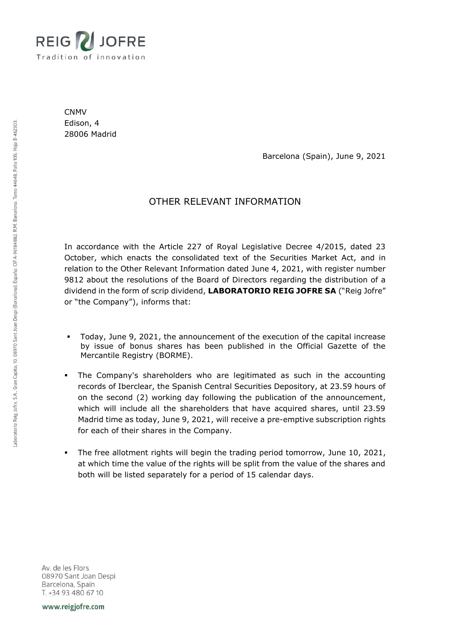

CNMV Edison, 4 28006 Madrid

Barcelona (Spain), June 9, 2021

## OTHER RELEVANT INFORMATION

In accordance with the Article 227 of Royal Legislative Decree 4/2015, dated 23 October, which enacts the consolidated text of the Securities Market Act, and in relation to the Other Relevant Information dated June 4, 2021, with register number 9812 about the resolutions of the Board of Directors regarding the distribution of a dividend in the form of scrip dividend, **LABORATORIO REIG JOFRE SA** ("Reig Jofre" or "the Company"), informs that:

- Today, June 9, 2021, the announcement of the execution of the capital increase by issue of bonus shares has been published in the Official Gazette of the Mercantile Registry (BORME).
- The Company's shareholders who are legitimated as such in the accounting records of Iberclear, the Spanish Central Securities Depository, at 23.59 hours of on the second (2) working day following the publication of the announcement, which will include all the shareholders that have acquired shares, until 23.59 Madrid time as today, June 9, 2021, will receive a pre-emptive subscription rights for each of their shares in the Company.
- The free allotment rights will begin the trading period tomorrow, June 10, 2021, at which time the value of the rights will be split from the value of the shares and both will be listed separately for a period of 15 calendar days.

Av. de les Flors 08970 Sant Joan Despi Barcelona, Spain T. +34 93 480 67 10

www.reigjofre.com